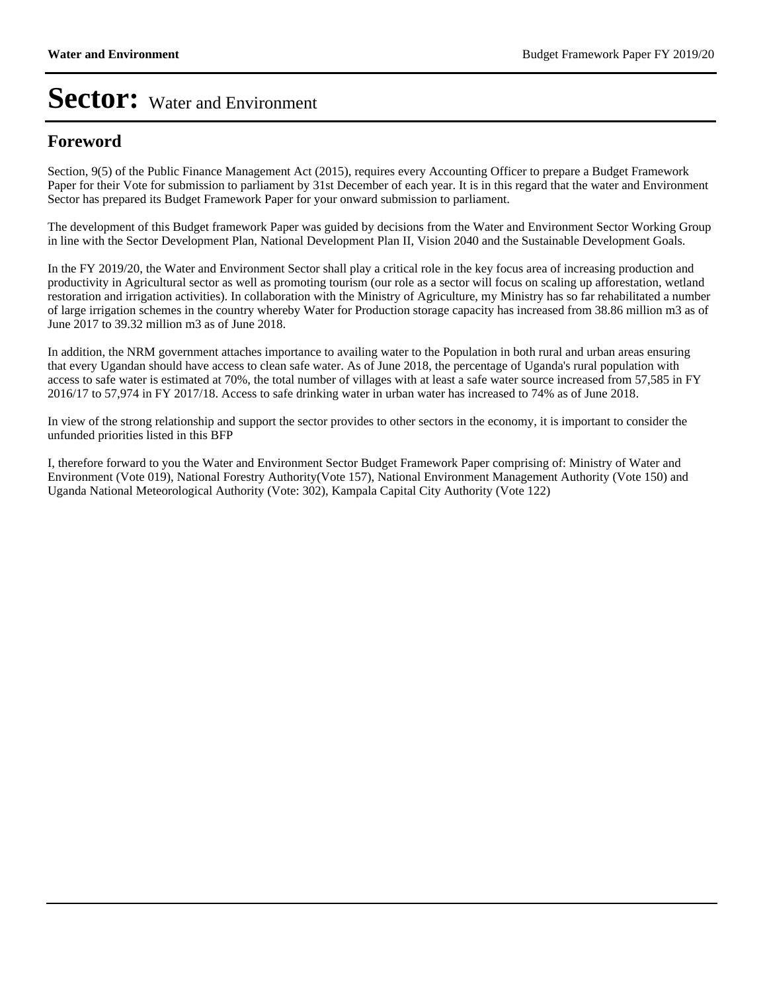#### **Foreword**

Section, 9(5) of the Public Finance Management Act (2015), requires every Accounting Officer to prepare a Budget Framework Paper for their Vote for submission to parliament by 31st December of each year. It is in this regard that the water and Environment Sector has prepared its Budget Framework Paper for your onward submission to parliament.

The development of this Budget framework Paper was guided by decisions from the Water and Environment Sector Working Group in line with the Sector Development Plan, National Development Plan II, Vision 2040 and the Sustainable Development Goals.

In the FY 2019/20, the Water and Environment Sector shall play a critical role in the key focus area of increasing production and productivity in Agricultural sector as well as promoting tourism (our role as a sector will focus on scaling up afforestation, wetland restoration and irrigation activities). In collaboration with the Ministry of Agriculture, my Ministry has so far rehabilitated a number of large irrigation schemes in the country whereby Water for Production storage capacity has increased from 38.86 million m3 as of June 2017 to 39.32 million m3 as of June 2018.

In addition, the NRM government attaches importance to availing water to the Population in both rural and urban areas ensuring that every Ugandan should have access to clean safe water. As of June 2018, the percentage of Uganda's rural population with access to safe water is estimated at 70%, the total number of villages with at least a safe water source increased from 57,585 in FY 2016/17 to 57,974 in FY 2017/18. Access to safe drinking water in urban water has increased to 74% as of June 2018.

In view of the strong relationship and support the sector provides to other sectors in the economy, it is important to consider the unfunded priorities listed in this BFP

I, therefore forward to you the Water and Environment Sector Budget Framework Paper comprising of: Ministry of Water and Environment (Vote 019), National Forestry Authority(Vote 157), National Environment Management Authority (Vote 150) and Uganda National Meteorological Authority (Vote: 302), Kampala Capital City Authority (Vote 122)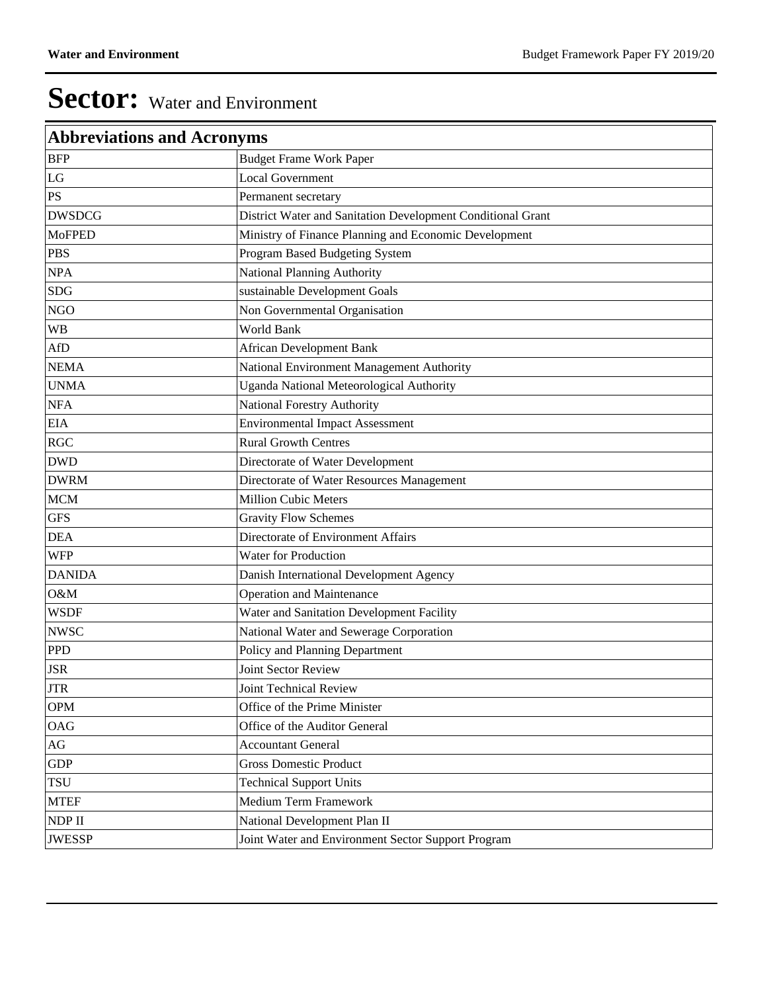| <b>Abbreviations and Acronyms</b> |                                                             |
|-----------------------------------|-------------------------------------------------------------|
| <b>BFP</b>                        | <b>Budget Frame Work Paper</b>                              |
| LG                                | <b>Local Government</b>                                     |
| PS                                | Permanent secretary                                         |
| <b>DWSDCG</b>                     | District Water and Sanitation Development Conditional Grant |
| <b>MoFPED</b>                     | Ministry of Finance Planning and Economic Development       |
| <b>PBS</b>                        | Program Based Budgeting System                              |
| <b>NPA</b>                        | National Planning Authority                                 |
| <b>SDG</b>                        | sustainable Development Goals                               |
| <b>NGO</b>                        | Non Governmental Organisation                               |
| <b>WB</b>                         | World Bank                                                  |
| AfD                               | <b>African Development Bank</b>                             |
| <b>NEMA</b>                       | National Environment Management Authority                   |
| <b>UNMA</b>                       | Uganda National Meteorological Authority                    |
| <b>NFA</b>                        | National Forestry Authority                                 |
| <b>EIA</b>                        | <b>Environmental Impact Assessment</b>                      |
| RGC                               | <b>Rural Growth Centres</b>                                 |
| <b>DWD</b>                        | Directorate of Water Development                            |
| <b>DWRM</b>                       | Directorate of Water Resources Management                   |
| <b>MCM</b>                        | <b>Million Cubic Meters</b>                                 |
| <b>GFS</b>                        | <b>Gravity Flow Schemes</b>                                 |
| <b>DEA</b>                        | Directorate of Environment Affairs                          |
| <b>WFP</b>                        | Water for Production                                        |
| <b>DANIDA</b>                     | Danish International Development Agency                     |
| O&M                               | <b>Operation and Maintenance</b>                            |
| <b>WSDF</b>                       | Water and Sanitation Development Facility                   |
| <b>NWSC</b>                       | National Water and Sewerage Corporation                     |
| <b>PPD</b>                        | Policy and Planning Department                              |
| <b>JSR</b>                        | Joint Sector Review                                         |
| <b>JTR</b>                        | Joint Technical Review                                      |
| <b>OPM</b>                        | Office of the Prime Minister                                |
| OAG                               | Office of the Auditor General                               |
| AG                                | <b>Accountant General</b>                                   |
| <b>GDP</b>                        | <b>Gross Domestic Product</b>                               |
| <b>TSU</b>                        | <b>Technical Support Units</b>                              |
| <b>MTEF</b>                       | Medium Term Framework                                       |
| NDP II                            | National Development Plan II                                |
| <b>JWESSP</b>                     | Joint Water and Environment Sector Support Program          |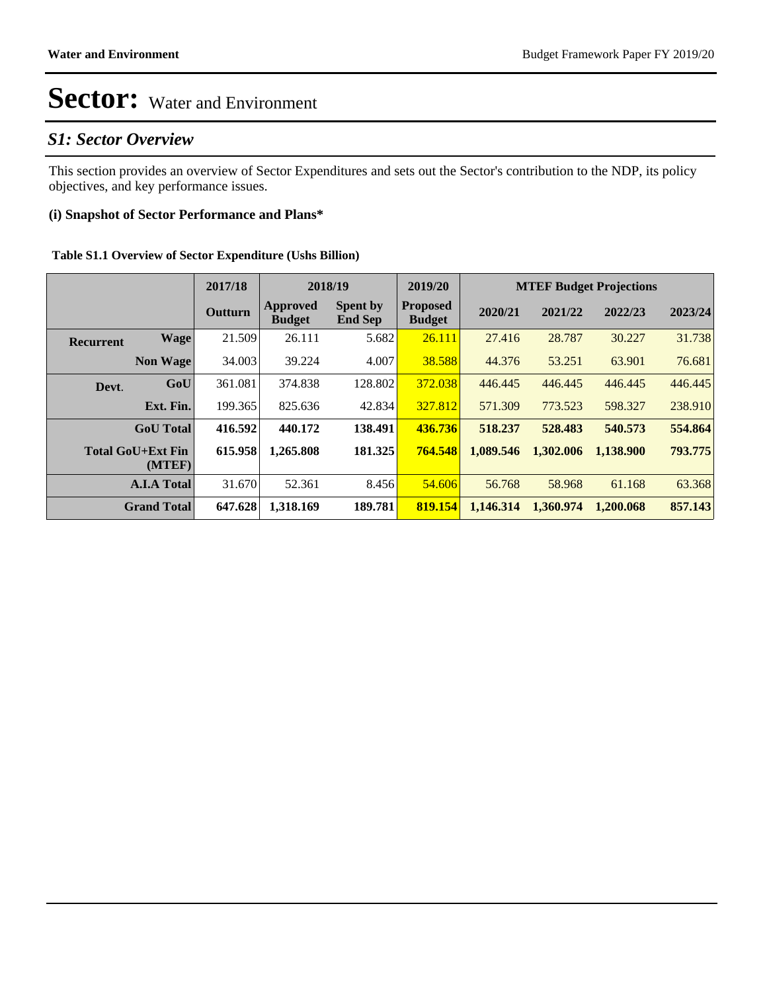### *S1: Sector Overview*

This section provides an overview of Sector Expenditures and sets out the Sector's contribution to the NDP, its policy objectives, and key performance issues.

#### **(i) Snapshot of Sector Performance and Plans\***

|  | Table S1.1 Overview of Sector Expenditure (Ushs Billion) |  |
|--|----------------------------------------------------------|--|
|  |                                                          |  |

|                  |                                    | 2017/18        | 2018/19                   |                                   | 2019/20                          | <b>MTEF Budget Projections</b> |           |           |         |
|------------------|------------------------------------|----------------|---------------------------|-----------------------------------|----------------------------------|--------------------------------|-----------|-----------|---------|
|                  |                                    | <b>Outturn</b> | Approved<br><b>Budget</b> | <b>Spent by</b><br><b>End Sep</b> | <b>Proposed</b><br><b>Budget</b> | 2020/21                        | 2021/22   | 2022/23   | 2023/24 |
| <b>Recurrent</b> | <b>Wage</b>                        | 21.509         | 26.111                    | 5.682                             | 26.111                           | 27.416                         | 28.787    | 30.227    | 31.738  |
|                  | <b>Non Wage</b>                    | 34.003         | 39.224                    | 4.007                             | 38.588                           | 44.376                         | 53.251    | 63.901    | 76.681  |
| Devt.            | GoU                                | 361.081        | 374.838                   | 128.802                           | 372.038                          | 446.445                        | 446.445   | 446.445   | 446.445 |
|                  | Ext. Fin.                          | 199.365        | 825.636                   | 42.834                            | 327.812                          | 571.309                        | 773.523   | 598.327   | 238.910 |
|                  | <b>GoU</b> Total                   | 416.592        | 440.172                   | 138.491                           | 436.736                          | 518.237                        | 528.483   | 540.573   | 554.864 |
|                  | <b>Total GoU+Ext Fin</b><br>(MTEF) | 615.958        | 1.265.808                 | 181.325                           | 764.548                          | 1.089.546                      | 1.302.006 | 1.138.900 | 793.775 |
|                  | <b>A.I.A Total</b>                 | 31.670         | 52.361                    | 8.456                             | 54.606                           | 56.768                         | 58.968    | 61.168    | 63.368  |
|                  | <b>Grand Total</b>                 | 647.628        | 1,318.169                 | 189.781                           | 819.154                          | 1,146.314                      | 1,360.974 | 1.200.068 | 857.143 |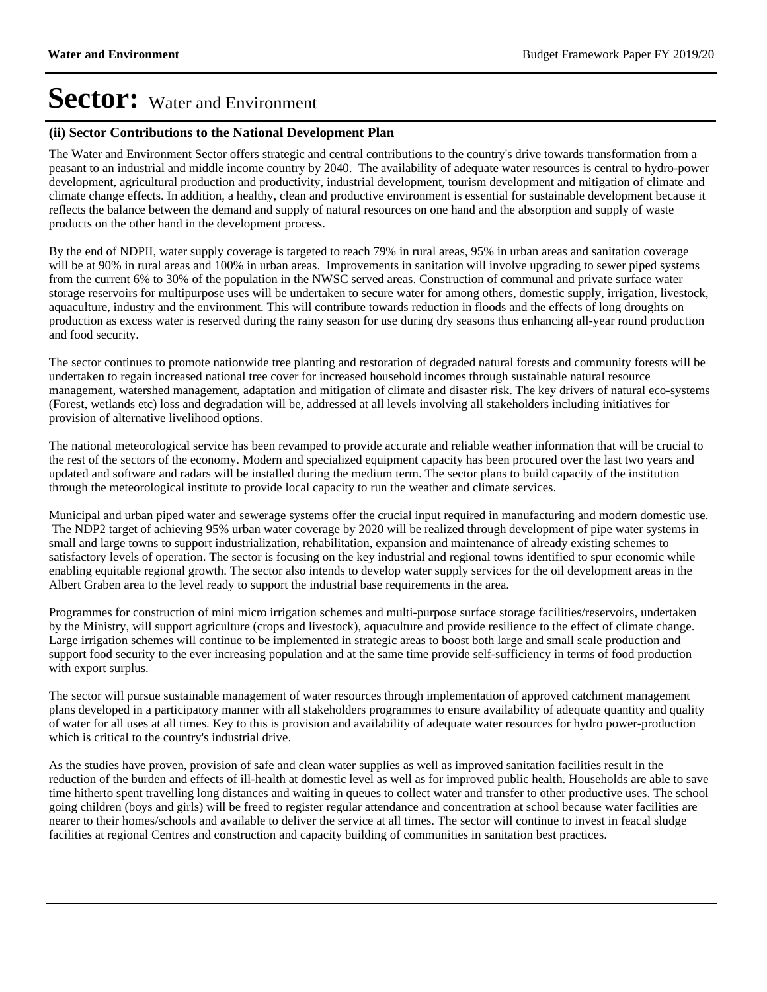#### **(ii) Sector Contributions to the National Development Plan**

The Water and Environment Sector offers strategic and central contributions to the country's drive towards transformation from a peasant to an industrial and middle income country by 2040. The availability of adequate water resources is central to hydro-power development, agricultural production and productivity, industrial development, tourism development and mitigation of climate and climate change effects. In addition, a healthy, clean and productive environment is essential for sustainable development because it reflects the balance between the demand and supply of natural resources on one hand and the absorption and supply of waste products on the other hand in the development process.

By the end of NDPII, water supply coverage is targeted to reach 79% in rural areas, 95% in urban areas and sanitation coverage will be at 90% in rural areas and 100% in urban areas. Improvements in sanitation will involve upgrading to sewer piped systems from the current 6% to 30% of the population in the NWSC served areas. Construction of communal and private surface water storage reservoirs for multipurpose uses will be undertaken to secure water for among others, domestic supply, irrigation, livestock, aquaculture, industry and the environment. This will contribute towards reduction in floods and the effects of long droughts on production as excess water is reserved during the rainy season for use during dry seasons thus enhancing all-year round production and food security.

The sector continues to promote nationwide tree planting and restoration of degraded natural forests and community forests will be undertaken to regain increased national tree cover for increased household incomes through sustainable natural resource management, watershed management, adaptation and mitigation of climate and disaster risk. The key drivers of natural eco-systems (Forest, wetlands etc) loss and degradation will be, addressed at all levels involving all stakeholders including initiatives for provision of alternative livelihood options.

The national meteorological service has been revamped to provide accurate and reliable weather information that will be crucial to the rest of the sectors of the economy. Modern and specialized equipment capacity has been procured over the last two years and updated and software and radars will be installed during the medium term. The sector plans to build capacity of the institution through the meteorological institute to provide local capacity to run the weather and climate services.

Municipal and urban piped water and sewerage systems offer the crucial input required in manufacturing and modern domestic use. The NDP2 target of achieving 95% urban water coverage by 2020 will be realized through development of pipe water systems in small and large towns to support industrialization, rehabilitation, expansion and maintenance of already existing schemes to satisfactory levels of operation. The sector is focusing on the key industrial and regional towns identified to spur economic while enabling equitable regional growth. The sector also intends to develop water supply services for the oil development areas in the Albert Graben area to the level ready to support the industrial base requirements in the area.

Programmes for construction of mini micro irrigation schemes and multi-purpose surface storage facilities/reservoirs, undertaken by the Ministry, will support agriculture (crops and livestock), aquaculture and provide resilience to the effect of climate change. Large irrigation schemes will continue to be implemented in strategic areas to boost both large and small scale production and support food security to the ever increasing population and at the same time provide self-sufficiency in terms of food production with export surplus.

The sector will pursue sustainable management of water resources through implementation of approved catchment management plans developed in a participatory manner with all stakeholders programmes to ensure availability of adequate quantity and quality of water for all uses at all times. Key to this is provision and availability of adequate water resources for hydro power-production which is critical to the country's industrial drive.

As the studies have proven, provision of safe and clean water supplies as well as improved sanitation facilities result in the reduction of the burden and effects of ill-health at domestic level as well as for improved public health. Households are able to save time hitherto spent travelling long distances and waiting in queues to collect water and transfer to other productive uses. The school going children (boys and girls) will be freed to register regular attendance and concentration at school because water facilities are nearer to their homes/schools and available to deliver the service at all times. The sector will continue to invest in feacal sludge facilities at regional Centres and construction and capacity building of communities in sanitation best practices.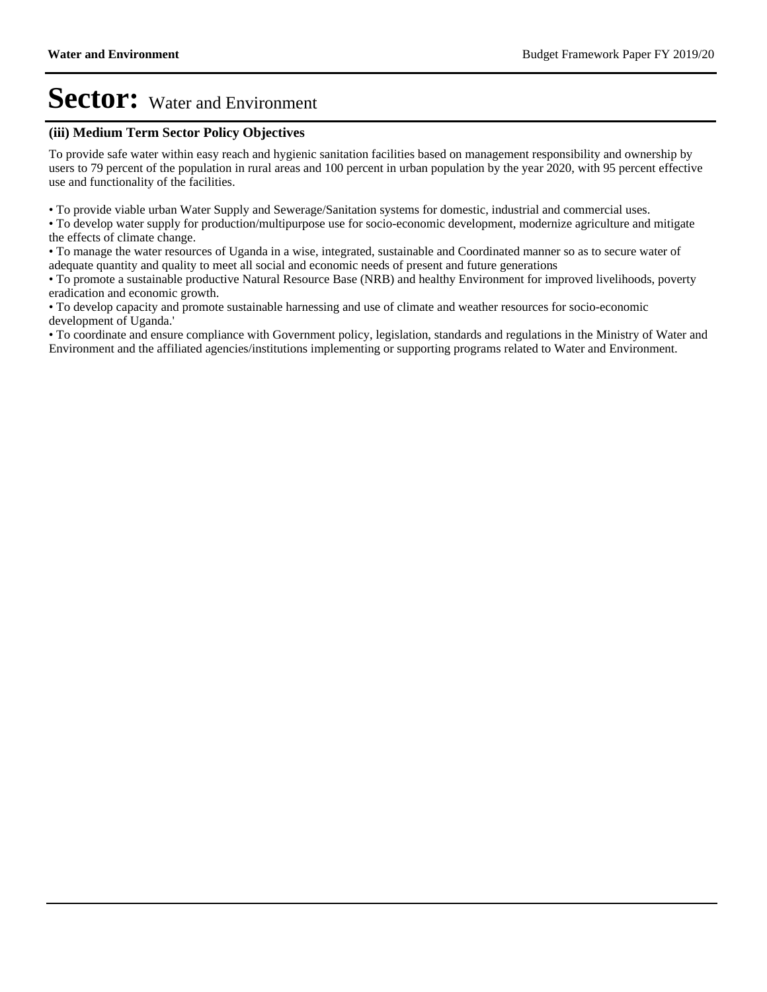#### **(iii) Medium Term Sector Policy Objectives**

To provide safe water within easy reach and hygienic sanitation facilities based on management responsibility and ownership by users to 79 percent of the population in rural areas and 100 percent in urban population by the year 2020, with 95 percent effective use and functionality of the facilities.

To provide viable urban Water Supply and Sewerage/Sanitation systems for domestic, industrial and commercial uses.

To develop water supply for production/multipurpose use for socio-economic development, modernize agriculture and mitigate the effects of climate change.

To manage the water resources of Uganda in a wise, integrated, sustainable and Coordinated manner so as to secure water of adequate quantity and quality to meet all social and economic needs of present and future generations

To promote a sustainable productive Natural Resource Base (NRB) and healthy Environment for improved livelihoods, poverty eradication and economic growth.

To develop capacity and promote sustainable harnessing and use of climate and weather resources for socio-economic development of Uganda.'

To coordinate and ensure compliance with Government policy, legislation, standards and regulations in the Ministry of Water and Environment and the affiliated agencies/institutions implementing or supporting programs related to Water and Environment.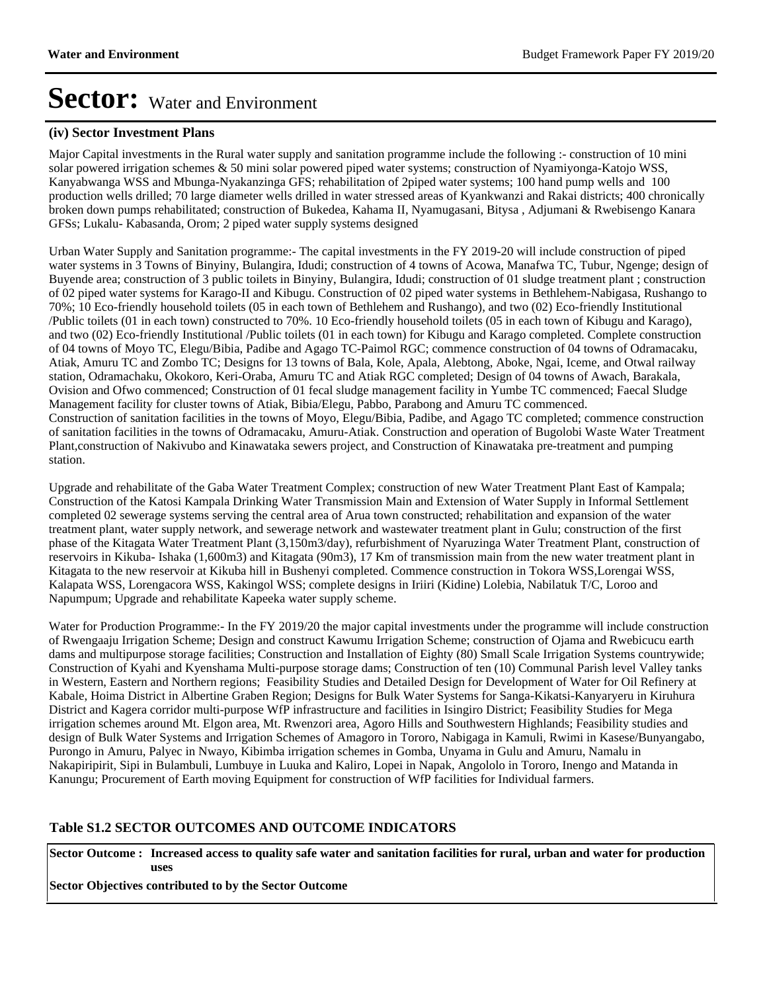#### **(iv) Sector Investment Plans**

Major Capital investments in the Rural water supply and sanitation programme include the following :- construction of 10 mini solar powered irrigation schemes & 50 mini solar powered piped water systems; construction of Nyamiyonga-Katojo WSS, Kanyabwanga WSS and Mbunga-Nyakanzinga GFS; rehabilitation of 2piped water systems; 100 hand pump wells and 100 production wells drilled; 70 large diameter wells drilled in water stressed areas of Kyankwanzi and Rakai districts; 400 chronically broken down pumps rehabilitated; construction of Bukedea, Kahama II, Nyamugasani, Bitysa , Adjumani & Rwebisengo Kanara GFSs; Lukalu- Kabasanda, Orom; 2 piped water supply systems designed

Urban Water Supply and Sanitation programme:- The capital investments in the FY 2019-20 will include construction of piped water systems in 3 Towns of Binyiny, Bulangira, Idudi; construction of 4 towns of Acowa, Manafwa TC, Tubur, Ngenge; design of Buyende area; construction of 3 public toilets in Binyiny, Bulangira, Idudi; construction of 01 sludge treatment plant ; construction of 02 piped water systems for Karago-II and Kibugu. Construction of 02 piped water systems in Bethlehem-Nabigasa, Rushango to 70%; 10 Eco-friendly household toilets (05 in each town of Bethlehem and Rushango), and two (02) Eco-friendly Institutional /Public toilets (01 in each town) constructed to 70%. 10 Eco-friendly household toilets (05 in each town of Kibugu and Karago), and two (02) Eco-friendly Institutional /Public toilets (01 in each town) for Kibugu and Karago completed. Complete construction of 04 towns of Moyo TC, Elegu/Bibia, Padibe and Agago TC-Paimol RGC; commence construction of 04 towns of Odramacaku, Atiak, Amuru TC and Zombo TC; Designs for 13 towns of Bala, Kole, Apala, Alebtong, Aboke, Ngai, Iceme, and Otwal railway station, Odramachaku, Okokoro, Keri-Oraba, Amuru TC and Atiak RGC completed; Design of 04 towns of Awach, Barakala, Ovision and Ofwo commenced; Construction of 01 fecal sludge management facility in Yumbe TC commenced; Faecal Sludge Management facility for cluster towns of Atiak, Bibia/Elegu, Pabbo, Parabong and Amuru TC commenced. Construction of sanitation facilities in the towns of Moyo, Elegu/Bibia, Padibe, and Agago TC completed; commence construction of sanitation facilities in the towns of Odramacaku, Amuru-Atiak. Construction and operation of Bugolobi Waste Water Treatment Plant,construction of Nakivubo and Kinawataka sewers project, and Construction of Kinawataka pre-treatment and pumping station.

Upgrade and rehabilitate of the Gaba Water Treatment Complex; construction of new Water Treatment Plant East of Kampala; Construction of the Katosi Kampala Drinking Water Transmission Main and Extension of Water Supply in Informal Settlement completed 02 sewerage systems serving the central area of Arua town constructed; rehabilitation and expansion of the water treatment plant, water supply network, and sewerage network and wastewater treatment plant in Gulu; construction of the first phase of the Kitagata Water Treatment Plant (3,150m3/day), refurbishment of Nyaruzinga Water Treatment Plant, construction of reservoirs in Kikuba- Ishaka (1,600m3) and Kitagata (90m3), 17 Km of transmission main from the new water treatment plant in Kitagata to the new reservoir at Kikuba hill in Bushenyi completed. Commence construction in Tokora WSS,Lorengai WSS, Kalapata WSS, Lorengacora WSS, Kakingol WSS; complete designs in Iriiri (Kidine) Lolebia, Nabilatuk T/C, Loroo and Napumpum; Upgrade and rehabilitate Kapeeka water supply scheme.

Water for Production Programme:- In the FY 2019/20 the major capital investments under the programme will include construction of Rwengaaju Irrigation Scheme; Design and construct Kawumu Irrigation Scheme; construction of Ojama and Rwebicucu earth dams and multipurpose storage facilities; Construction and Installation of Eighty (80) Small Scale Irrigation Systems countrywide; Construction of Kyahi and Kyenshama Multi-purpose storage dams; Construction of ten (10) Communal Parish level Valley tanks in Western, Eastern and Northern regions; Feasibility Studies and Detailed Design for Development of Water for Oil Refinery at Kabale, Hoima District in Albertine Graben Region; Designs for Bulk Water Systems for Sanga-Kikatsi-Kanyaryeru in Kiruhura District and Kagera corridor multi-purpose WfP infrastructure and facilities in Isingiro District; Feasibility Studies for Mega irrigation schemes around Mt. Elgon area, Mt. Rwenzori area, Agoro Hills and Southwestern Highlands; Feasibility studies and design of Bulk Water Systems and Irrigation Schemes of Amagoro in Tororo, Nabigaga in Kamuli, Rwimi in Kasese/Bunyangabo, Purongo in Amuru, Palyec in Nwayo, Kibimba irrigation schemes in Gomba, Unyama in Gulu and Amuru, Namalu in Nakapiripirit, Sipi in Bulambuli, Lumbuye in Luuka and Kaliro, Lopei in Napak, Angololo in Tororo, Inengo and Matanda in Kanungu; Procurement of Earth moving Equipment for construction of WfP facilities for Individual farmers.

#### **Table S1.2 SECTOR OUTCOMES AND OUTCOME INDICATORS**

**Sector Outcome : Increased access to quality safe water and sanitation facilities for rural, urban and water for production uses**

**Sector Objectives contributed to by the Sector Outcome**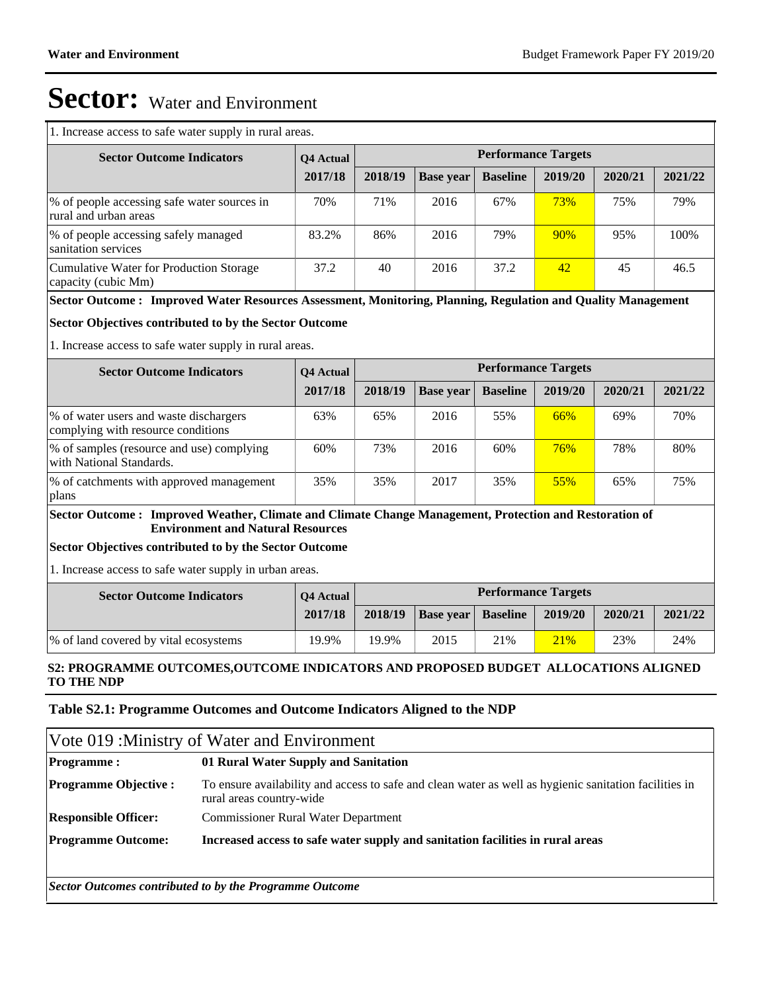1. Increase access to safe water supply in rural areas.

| <b>Sector Outcome Indicators</b>                                      | <b>O4</b> Actual | <b>Performance Targets</b> |                  |                 |         |         |         |  |
|-----------------------------------------------------------------------|------------------|----------------------------|------------------|-----------------|---------|---------|---------|--|
|                                                                       | 2017/18          | 2018/19                    | <b>Base year</b> | <b>Baseline</b> | 2019/20 | 2020/21 | 2021/22 |  |
| \% of people accessing safe water sources in<br>rural and urban areas | 70%              | 71%                        | 2016             | 67%             | 73%     | 75%     | 79%     |  |
| \% of people accessing safely managed<br>sanitation services          | 83.2%            | 86%                        | 2016             | 79%             | 90%     | 95%     | 100%    |  |
| Cumulative Water for Production Storage<br>capacity (cubic Mm)        | 37.2             | 40                         | 2016             | 37.2            | 42      | 45      | 46.5    |  |

#### **Sector Outcome : Improved Water Resources Assessment, Monitoring, Planning, Regulation and Quality Management**

#### **Sector Objectives contributed to by the Sector Outcome**

1. Increase access to safe water supply in rural areas.

| <b>Sector Outcome Indicators</b>                                              | <b>O4</b> Actual |         |                  | <b>Performance Targets</b> |         |         |         |
|-------------------------------------------------------------------------------|------------------|---------|------------------|----------------------------|---------|---------|---------|
|                                                                               | 2017/18          | 2018/19 | <b>Base year</b> | <b>Baseline</b>            | 2019/20 | 2020/21 | 2021/22 |
| \% of water users and waste dischargers<br>complying with resource conditions | 63%              | 65%     | 2016             | 55%                        | 66%     | 69%     | 70%     |
| \% of samples (resource and use) complying<br>with National Standards.        | 60%              | 73%     | 2016             | 60%                        | 76%     | 78%     | 80%     |
| \% of catchments with approved management<br>  plans                          | 35%              | 35%     | 2017             | 35%                        | 55%     | 65%     | 75%     |

#### **Sector Outcome : Improved Weather, Climate and Climate Change Management, Protection and Restoration of Environment and Natural Resources**

#### **Sector Objectives contributed to by the Sector Outcome**

1. Increase access to safe water supply in urban areas.

| <b>Sector Outcome Indicators</b>       | <b>O4</b> Actual |         |                  |                 | <b>Performance Targets</b> |         |         |
|----------------------------------------|------------------|---------|------------------|-----------------|----------------------------|---------|---------|
|                                        | 2017/18          | 2018/19 | <b>Base vear</b> | <b>Baseline</b> | 2019/20                    | 2020/21 | 2021/22 |
| \% of land covered by vital ecosystems | 19.9%            | 19.9%   | 2015             | 21%             | 21%                        | 23%     | 24%     |

#### **S2: PROGRAMME OUTCOMES,OUTCOME INDICATORS AND PROPOSED BUDGET ALLOCATIONS ALIGNED TO THE NDP**

#### **Table S2.1: Programme Outcomes and Outcome Indicators Aligned to the NDP**

| Vote 019 : Ministry of Water and Environment |                                                                                                                                    |  |  |  |  |  |
|----------------------------------------------|------------------------------------------------------------------------------------------------------------------------------------|--|--|--|--|--|
| <b>Programme:</b>                            | 01 Rural Water Supply and Sanitation                                                                                               |  |  |  |  |  |
| <b>Programme Objective:</b>                  | To ensure availability and access to safe and clean water as well as hygienic sanitation facilities in<br>rural areas country-wide |  |  |  |  |  |
| <b>Responsible Officer:</b>                  | <b>Commissioner Rural Water Department</b>                                                                                         |  |  |  |  |  |
| <b>Programme Outcome:</b>                    | Increased access to safe water supply and sanitation facilities in rural areas                                                     |  |  |  |  |  |

*Sector Outcomes contributed to by the Programme Outcome*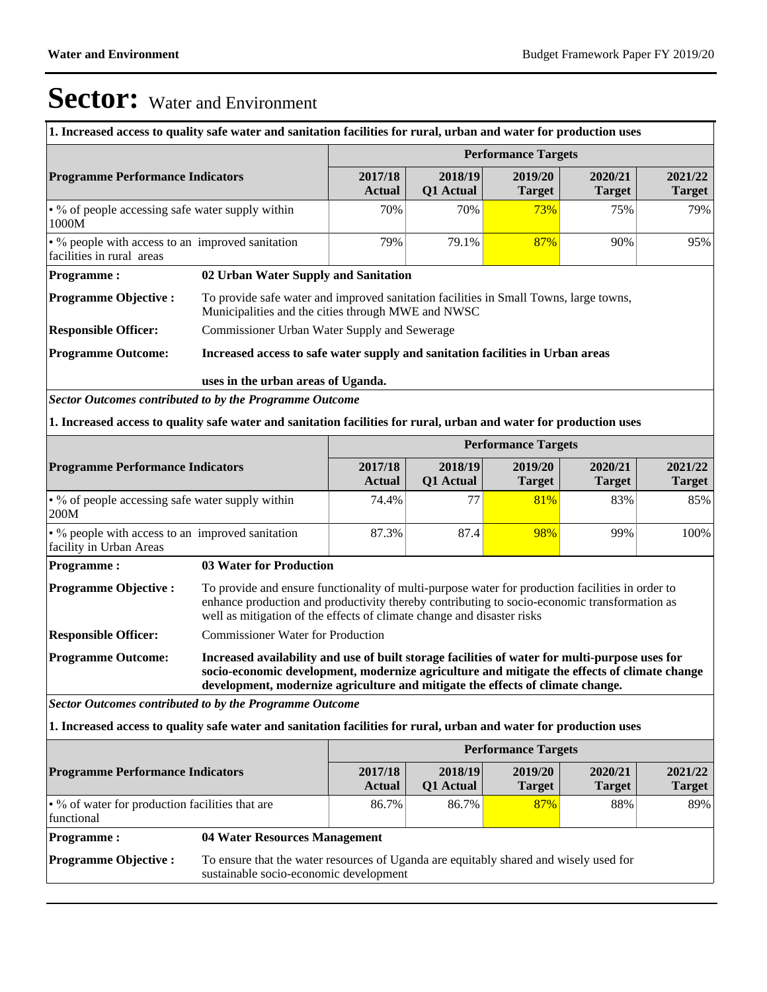| 1. Increased access to quality safe water and sanitation facilities for rural, urban and water for production uses |                                                                                                                                                                                                                                                                                  |                          |                      |                            |                          |                          |
|--------------------------------------------------------------------------------------------------------------------|----------------------------------------------------------------------------------------------------------------------------------------------------------------------------------------------------------------------------------------------------------------------------------|--------------------------|----------------------|----------------------------|--------------------------|--------------------------|
|                                                                                                                    | <b>Performance Targets</b>                                                                                                                                                                                                                                                       |                          |                      |                            |                          |                          |
| <b>Programme Performance Indicators</b>                                                                            |                                                                                                                                                                                                                                                                                  | 2017/18<br><b>Actual</b> | 2018/19<br>Q1 Actual | 2019/20<br><b>Target</b>   | 2020/21<br><b>Target</b> | 2021/22<br><b>Target</b> |
| $\cdot$ % of people accessing safe water supply within<br>1000M                                                    |                                                                                                                                                                                                                                                                                  | 70%                      | 70%                  | 73%                        | 75%                      | 79%                      |
| • % people with access to an improved sanitation<br>facilities in rural areas                                      |                                                                                                                                                                                                                                                                                  | 79%                      | 79.1%                | 87%                        | 90%                      | 95%                      |
| <b>Programme:</b>                                                                                                  | 02 Urban Water Supply and Sanitation                                                                                                                                                                                                                                             |                          |                      |                            |                          |                          |
| <b>Programme Objective:</b>                                                                                        | To provide safe water and improved sanitation facilities in Small Towns, large towns,<br>Municipalities and the cities through MWE and NWSC                                                                                                                                      |                          |                      |                            |                          |                          |
| <b>Responsible Officer:</b>                                                                                        | Commissioner Urban Water Supply and Sewerage                                                                                                                                                                                                                                     |                          |                      |                            |                          |                          |
| <b>Programme Outcome:</b>                                                                                          | Increased access to safe water supply and sanitation facilities in Urban areas                                                                                                                                                                                                   |                          |                      |                            |                          |                          |
|                                                                                                                    | uses in the urban areas of Uganda.                                                                                                                                                                                                                                               |                          |                      |                            |                          |                          |
| <b>Sector Outcomes contributed to by the Programme Outcome</b>                                                     |                                                                                                                                                                                                                                                                                  |                          |                      |                            |                          |                          |
| 1. Increased access to quality safe water and sanitation facilities for rural, urban and water for production uses |                                                                                                                                                                                                                                                                                  |                          |                      |                            |                          |                          |
|                                                                                                                    |                                                                                                                                                                                                                                                                                  |                          |                      | <b>Performance Targets</b> |                          |                          |
| <b>Programme Performance Indicators</b>                                                                            |                                                                                                                                                                                                                                                                                  | 2017/18<br><b>Actual</b> | 2018/19<br>Q1 Actual | 2019/20<br><b>Target</b>   | 2020/21<br><b>Target</b> | 2021/22<br><b>Target</b> |
| • % of people accessing safe water supply within<br>200M                                                           |                                                                                                                                                                                                                                                                                  | 74.4%                    | 77                   | 81%                        | 83%                      | 85%                      |
| • % people with access to an improved sanitation<br>facility in Urban Areas                                        |                                                                                                                                                                                                                                                                                  | 87.3%                    | 87.4                 | 98%                        | 99%                      | 100%                     |
| <b>Programme:</b>                                                                                                  | <b>03 Water for Production</b>                                                                                                                                                                                                                                                   |                          |                      |                            |                          |                          |
| <b>Programme Objective:</b>                                                                                        | To provide and ensure functionality of multi-purpose water for production facilities in order to<br>enhance production and productivity thereby contributing to socio-economic transformation as<br>well as mitigation of the effects of climate change and disaster risks       |                          |                      |                            |                          |                          |
| <b>Responsible Officer:</b>                                                                                        | <b>Commissioner Water for Production</b>                                                                                                                                                                                                                                         |                          |                      |                            |                          |                          |
| <b>Programme Outcome:</b>                                                                                          | Increased availability and use of built storage facilities of water for multi-purpose uses for<br>socio-economic development, modernize agriculture and mitigate the effects of climate change<br>development, modernize agriculture and mitigate the effects of climate change. |                          |                      |                            |                          |                          |
| Sector Outcomes contributed to by the Programme Outcome                                                            |                                                                                                                                                                                                                                                                                  |                          |                      |                            |                          |                          |
| 1. Increased access to quality safe water and sanitation facilities for rural, urban and water for production uses |                                                                                                                                                                                                                                                                                  |                          |                      |                            |                          |                          |
|                                                                                                                    |                                                                                                                                                                                                                                                                                  |                          |                      | <b>Performance Targets</b> |                          |                          |
| <b>Programme Performance Indicators</b>                                                                            |                                                                                                                                                                                                                                                                                  | 2017/18<br><b>Actual</b> | 2018/19<br>Q1 Actual | 2019/20<br><b>Target</b>   | 2020/21<br><b>Target</b> | 2021/22<br><b>Target</b> |
| functional                                                                                                         | • % of water for production facilities that are<br>86.7%<br>86.7%<br>87%<br>88%                                                                                                                                                                                                  |                          |                      |                            |                          | 89%                      |
| <b>Programme:</b>                                                                                                  | 04 Water Resources Management                                                                                                                                                                                                                                                    |                          |                      |                            |                          |                          |
| <b>Programme Objective:</b>                                                                                        | To ensure that the water resources of Uganda are equitably shared and wisely used for<br>sustainable socio-economic development                                                                                                                                                  |                          |                      |                            |                          |                          |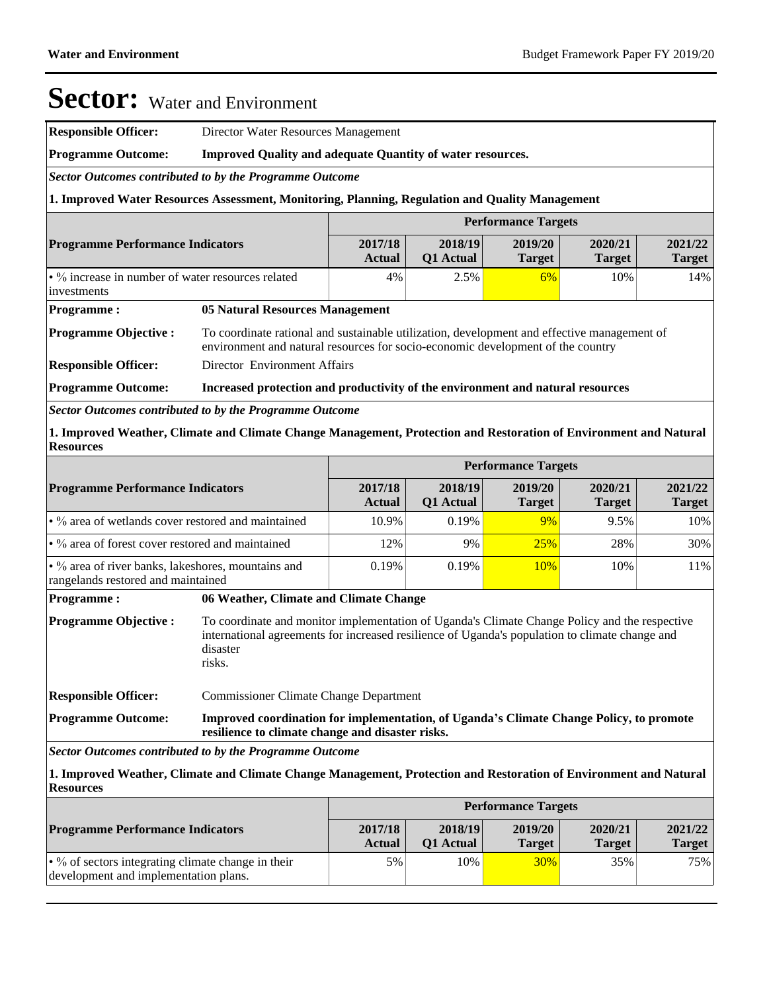**Responsible Officer:** Director Water Resources Management

**Programme Outcome: Improved Quality and adequate Quantity of water resources.**

*Sector Outcomes contributed to by the Programme Outcome*

**1. Improved Water Resources Assessment, Monitoring, Planning, Regulation and Quality Management**

|                                                                                                                                       | <b>Performance Targets</b>                                                                                                                                                                                            |                          |                      |                            |                          |                          |  |  |
|---------------------------------------------------------------------------------------------------------------------------------------|-----------------------------------------------------------------------------------------------------------------------------------------------------------------------------------------------------------------------|--------------------------|----------------------|----------------------------|--------------------------|--------------------------|--|--|
| <b>Programme Performance Indicators</b>                                                                                               |                                                                                                                                                                                                                       | 2017/18<br><b>Actual</b> | 2018/19<br>Q1 Actual | 2019/20<br><b>Target</b>   | 2020/21<br><b>Target</b> | 2021/22<br><b>Target</b> |  |  |
| • % increase in number of water resources related<br>investments                                                                      |                                                                                                                                                                                                                       | 4%                       | 2.5%                 | 6%                         | 10%                      | 14%                      |  |  |
| <b>Programme:</b>                                                                                                                     | <b>05 Natural Resources Management</b>                                                                                                                                                                                |                          |                      |                            |                          |                          |  |  |
| <b>Programme Objective:</b>                                                                                                           | To coordinate rational and sustainable utilization, development and effective management of<br>environment and natural resources for socio-economic development of the country                                        |                          |                      |                            |                          |                          |  |  |
| <b>Responsible Officer:</b>                                                                                                           | Director Environment Affairs                                                                                                                                                                                          |                          |                      |                            |                          |                          |  |  |
| <b>Programme Outcome:</b>                                                                                                             | Increased protection and productivity of the environment and natural resources                                                                                                                                        |                          |                      |                            |                          |                          |  |  |
| Sector Outcomes contributed to by the Programme Outcome                                                                               |                                                                                                                                                                                                                       |                          |                      |                            |                          |                          |  |  |
| 1. Improved Weather, Climate and Climate Change Management, Protection and Restoration of Environment and Natural<br><b>Resources</b> |                                                                                                                                                                                                                       |                          |                      |                            |                          |                          |  |  |
|                                                                                                                                       |                                                                                                                                                                                                                       |                          |                      | <b>Performance Targets</b> |                          |                          |  |  |
| <b>Programme Performance Indicators</b>                                                                                               |                                                                                                                                                                                                                       | 2017/18<br><b>Actual</b> | 2018/19<br>Q1 Actual | 2019/20<br><b>Target</b>   | 2020/21<br><b>Target</b> | 2021/22<br><b>Target</b> |  |  |
| • % area of wetlands cover restored and maintained                                                                                    |                                                                                                                                                                                                                       | 10.9%                    | 0.19%                | 9%                         | 9.5%                     | 10%                      |  |  |
| • % area of forest cover restored and maintained                                                                                      |                                                                                                                                                                                                                       | 12%                      | 9%                   | 25%                        | 28%                      | 30%                      |  |  |
| • % area of river banks, lakeshores, mountains and<br>rangelands restored and maintained                                              |                                                                                                                                                                                                                       | 0.19%                    | 0.19%                | 10%                        | 10%                      | 11%                      |  |  |
| <b>Programme:</b>                                                                                                                     | 06 Weather, Climate and Climate Change                                                                                                                                                                                |                          |                      |                            |                          |                          |  |  |
| <b>Programme Objective:</b>                                                                                                           | To coordinate and monitor implementation of Uganda's Climate Change Policy and the respective<br>international agreements for increased resilience of Uganda's population to climate change and<br>disaster<br>risks. |                          |                      |                            |                          |                          |  |  |
| <b>Responsible Officer:</b>                                                                                                           | <b>Commissioner Climate Change Department</b>                                                                                                                                                                         |                          |                      |                            |                          |                          |  |  |
| <b>Programme Outcome:</b>                                                                                                             | Improved coordination for implementation, of Uganda's Climate Change Policy, to promote<br>resilience to climate change and disaster risks.                                                                           |                          |                      |                            |                          |                          |  |  |
| Sector Outcomes contributed to by the Programme Outcome                                                                               |                                                                                                                                                                                                                       |                          |                      |                            |                          |                          |  |  |

**1. Improved Weather, Climate and Climate Change Management, Protection and Restoration of Environment and Natural Resources**

|                                                                                                   |                          |                             | <b>Performance Targets</b> |                          |                          |
|---------------------------------------------------------------------------------------------------|--------------------------|-----------------------------|----------------------------|--------------------------|--------------------------|
| <b>Programme Performance Indicators</b>                                                           | 2017/18<br><b>Actual</b> | 2018/19<br><b>O1</b> Actual | 2019/20<br><b>Target</b>   | 2020/21<br><b>Target</b> | 2021/22<br><b>Target</b> |
| $\cdot$ % of sectors integrating climate change in their<br>development and implementation plans. | 5%                       | 10%                         | 30%                        | 35%                      | 75%                      |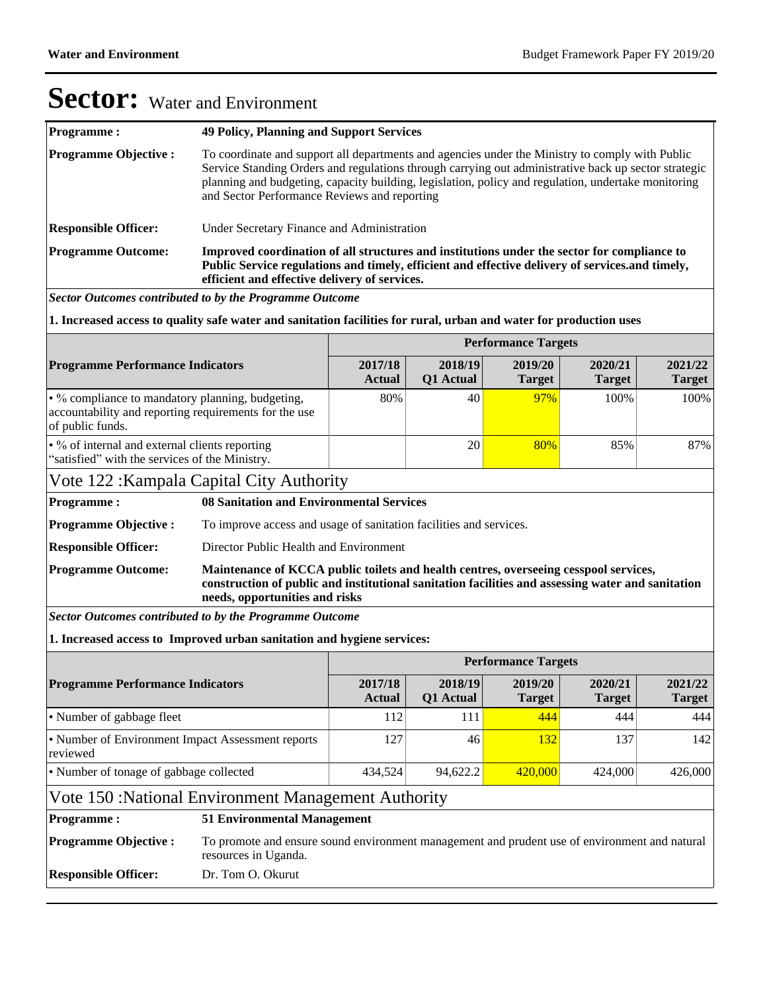| <b>Programme:</b>           | <b>49 Policy, Planning and Support Services</b>                                                                                                                                                                                                                                                                                                                |
|-----------------------------|----------------------------------------------------------------------------------------------------------------------------------------------------------------------------------------------------------------------------------------------------------------------------------------------------------------------------------------------------------------|
| <b>Programme Objective:</b> | To coordinate and support all departments and agencies under the Ministry to comply with Public<br>Service Standing Orders and regulations through carrying out administrative back up sector strategic<br>planning and budgeting, capacity building, legislation, policy and regulation, undertake monitoring<br>and Sector Performance Reviews and reporting |
| <b>Responsible Officer:</b> | Under Secretary Finance and Administration                                                                                                                                                                                                                                                                                                                     |
| <b>Programme Outcome:</b>   | Improved coordination of all structures and institutions under the sector for compliance to<br>Public Service regulations and timely, efficient and effective delivery of services. and timely,<br>efficient and effective delivery of services.                                                                                                               |
|                             | Sector Outcomes contributed to by the Programme Outcome                                                                                                                                                                                                                                                                                                        |

**1. Increased access to quality safe water and sanitation facilities for rural, urban and water for production uses**

|                                                                                                                               |                                                                                                                                                                                                                             |                                                                                               |                             | <b>Performance Targets</b> |                          |                          |  |  |
|-------------------------------------------------------------------------------------------------------------------------------|-----------------------------------------------------------------------------------------------------------------------------------------------------------------------------------------------------------------------------|-----------------------------------------------------------------------------------------------|-----------------------------|----------------------------|--------------------------|--------------------------|--|--|
| <b>Programme Performance Indicators</b>                                                                                       |                                                                                                                                                                                                                             | 2017/18<br><b>Actual</b>                                                                      | 2018/19<br><b>Q1</b> Actual | 2019/20<br><b>Target</b>   | 2020/21<br><b>Target</b> | 2021/22<br><b>Target</b> |  |  |
| • % compliance to mandatory planning, budgeting,<br>accountability and reporting requirements for the use<br>of public funds. | 80%                                                                                                                                                                                                                         | 40                                                                                            | 97%                         | 100%                       | 100%                     |                          |  |  |
| • % of internal and external clients reporting<br>"satisfied" with the services of the Ministry.                              |                                                                                                                                                                                                                             |                                                                                               | 20                          | 80%                        | 85%                      | 87%                      |  |  |
| Vote 122: Kampala Capital City Authority                                                                                      |                                                                                                                                                                                                                             |                                                                                               |                             |                            |                          |                          |  |  |
| <b>Programme:</b>                                                                                                             | 08 Sanitation and Environmental Services                                                                                                                                                                                    |                                                                                               |                             |                            |                          |                          |  |  |
| <b>Programme Objective:</b>                                                                                                   | To improve access and usage of sanitation facilities and services.                                                                                                                                                          |                                                                                               |                             |                            |                          |                          |  |  |
| <b>Responsible Officer:</b>                                                                                                   | Director Public Health and Environment                                                                                                                                                                                      |                                                                                               |                             |                            |                          |                          |  |  |
| <b>Programme Outcome:</b>                                                                                                     | Maintenance of KCCA public toilets and health centres, overseeing cesspool services,<br>construction of public and institutional sanitation facilities and assessing water and sanitation<br>needs, opportunities and risks |                                                                                               |                             |                            |                          |                          |  |  |
| <b>Sector Outcomes contributed to by the Programme Outcome</b>                                                                |                                                                                                                                                                                                                             |                                                                                               |                             |                            |                          |                          |  |  |
| 1. Increased access to Improved urban sanitation and hygiene services:                                                        |                                                                                                                                                                                                                             |                                                                                               |                             |                            |                          |                          |  |  |
|                                                                                                                               |                                                                                                                                                                                                                             |                                                                                               |                             | <b>Performance Targets</b> |                          |                          |  |  |
| <b>Programme Performance Indicators</b>                                                                                       |                                                                                                                                                                                                                             | 2017/18<br><b>Actual</b>                                                                      | 2018/19<br>Q1 Actual        | 2019/20<br><b>Target</b>   | 2020/21<br><b>Target</b> | 2021/22<br><b>Target</b> |  |  |
| • Number of gabbage fleet                                                                                                     |                                                                                                                                                                                                                             | 112                                                                                           | 111                         | 444                        | 444                      | 444                      |  |  |
| • Number of Environment Impact Assessment reports<br>reviewed                                                                 |                                                                                                                                                                                                                             | 127                                                                                           | 46                          | 132                        | 137                      | 142                      |  |  |
| • Number of tonage of gabbage collected                                                                                       |                                                                                                                                                                                                                             | 434,524                                                                                       | 94,622.2                    | 420,000                    | 424,000                  | 426,000                  |  |  |
| Vote 150: National Environment Management Authority                                                                           |                                                                                                                                                                                                                             |                                                                                               |                             |                            |                          |                          |  |  |
| <b>Programme:</b>                                                                                                             | <b>51 Environmental Management</b>                                                                                                                                                                                          |                                                                                               |                             |                            |                          |                          |  |  |
| <b>Programme Objective:</b>                                                                                                   | resources in Uganda.                                                                                                                                                                                                        | To promote and ensure sound environment management and prudent use of environment and natural |                             |                            |                          |                          |  |  |
| <b>Responsible Officer:</b>                                                                                                   | Dr. Tom O. Okurut                                                                                                                                                                                                           |                                                                                               |                             |                            |                          |                          |  |  |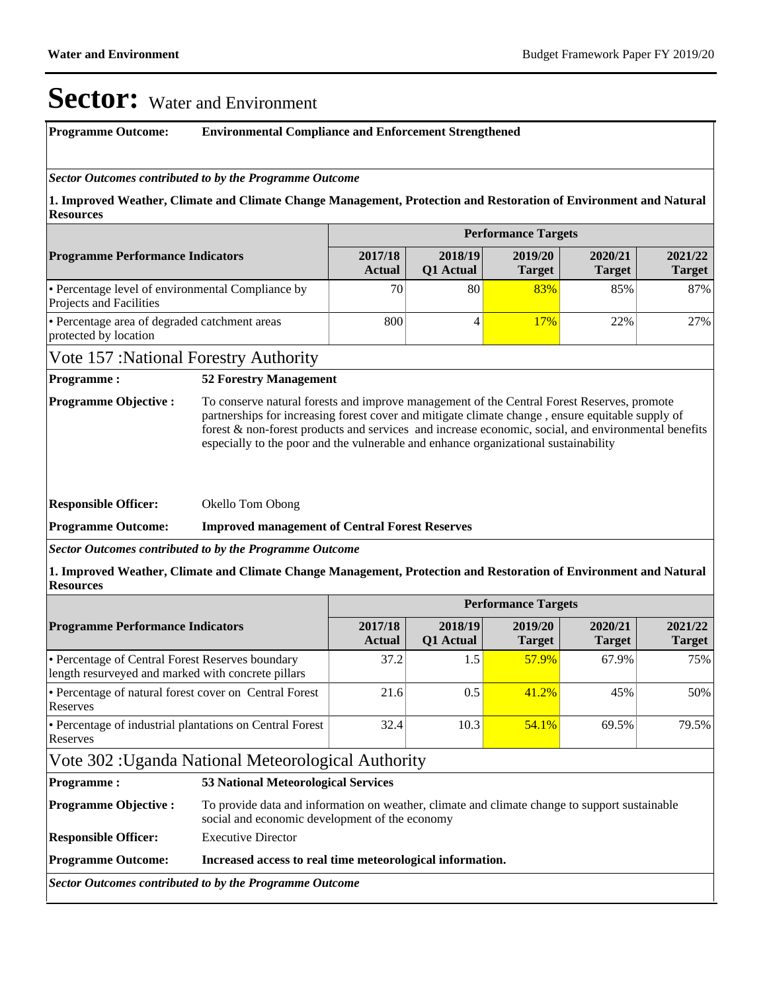#### **Programme Outcome: Environmental Compliance and Enforcement Strengthened**

#### *Sector Outcomes contributed to by the Programme Outcome*

**1. Improved Weather, Climate and Climate Change Management, Protection and Restoration of Environment and Natural Resources**

|                                                                                     | <b>Performance Targets</b> |                             |                          |                          |                          |  |  |  |  |
|-------------------------------------------------------------------------------------|----------------------------|-----------------------------|--------------------------|--------------------------|--------------------------|--|--|--|--|
| <b>Programme Performance Indicators</b>                                             | 2017/18<br><b>Actual</b>   | 2018/19<br><b>O1</b> Actual | 2019/20<br><b>Target</b> | 2020/21<br><b>Target</b> | 2021/22<br><b>Target</b> |  |  |  |  |
| • Percentage level of environmental Compliance by<br><b>Projects and Facilities</b> | 70 <sub>1</sub>            | 80                          | 83%                      | 85%                      | 87%                      |  |  |  |  |
| • Percentage area of degraded catchment areas<br>protected by location              | 800                        |                             | 17%                      | 22%                      | 27%                      |  |  |  |  |

#### Vote 157 :National Forestry Authority

#### **Programme : 52 Forestry Management**

**Programme Objective :** To conserve natural forests and improve management of the Central Forest Reserves, promote partnerships for increasing forest cover and mitigate climate change , ensure equitable supply of forest & non-forest products and services and increase economic, social, and environmental benefits especially to the poor and the vulnerable and enhance organizational sustainability

**Responsible Officer:** Okello Tom Obong

#### **Programme Outcome: Improved management of Central Forest Reserves**

*Sector Outcomes contributed to by the Programme Outcome*

**1. Improved Weather, Climate and Climate Change Management, Protection and Restoration of Environment and Natural Resources**

|                                                                                                        |                                                                                                                                                 | <b>Performance Targets</b>                 |                      |                          |                          |                          |  |  |
|--------------------------------------------------------------------------------------------------------|-------------------------------------------------------------------------------------------------------------------------------------------------|--------------------------------------------|----------------------|--------------------------|--------------------------|--------------------------|--|--|
| <b>Programme Performance Indicators</b>                                                                |                                                                                                                                                 | 2017/18<br><b>Actual</b>                   | 2018/19<br>Q1 Actual | 2019/20<br><b>Target</b> | 2020/21<br><b>Target</b> | 2021/22<br><b>Target</b> |  |  |
| • Percentage of Central Forest Reserves boundary<br>length resurveyed and marked with concrete pillars |                                                                                                                                                 | 37.2                                       | 1.5                  | 57.9%                    | 67.9%                    | 75%                      |  |  |
| • Percentage of natural forest cover on Central Forest<br>Reserves                                     |                                                                                                                                                 | 21.6                                       | 0.5                  | 41.2%                    | 45%                      | 50%                      |  |  |
| • Percentage of industrial plantations on Central Forest<br>Reserves                                   |                                                                                                                                                 | 32.4                                       | 10.3                 | 54.1%                    | 69.5%                    | 79.5%                    |  |  |
| Vote 302 : Uganda National Meteorological Authority                                                    |                                                                                                                                                 |                                            |                      |                          |                          |                          |  |  |
| <b>Programme:</b>                                                                                      |                                                                                                                                                 | <b>53 National Meteorological Services</b> |                      |                          |                          |                          |  |  |
| <b>Programme Objective:</b>                                                                            | To provide data and information on weather, climate and climate change to support sustainable<br>social and economic development of the economy |                                            |                      |                          |                          |                          |  |  |
| <b>Responsible Officer:</b>                                                                            | <b>Executive Director</b>                                                                                                                       |                                            |                      |                          |                          |                          |  |  |
| <b>Programme Outcome:</b><br>Increased access to real time meteorological information.                 |                                                                                                                                                 |                                            |                      |                          |                          |                          |  |  |
| Sector Outcomes contributed to by the Programme Outcome                                                |                                                                                                                                                 |                                            |                      |                          |                          |                          |  |  |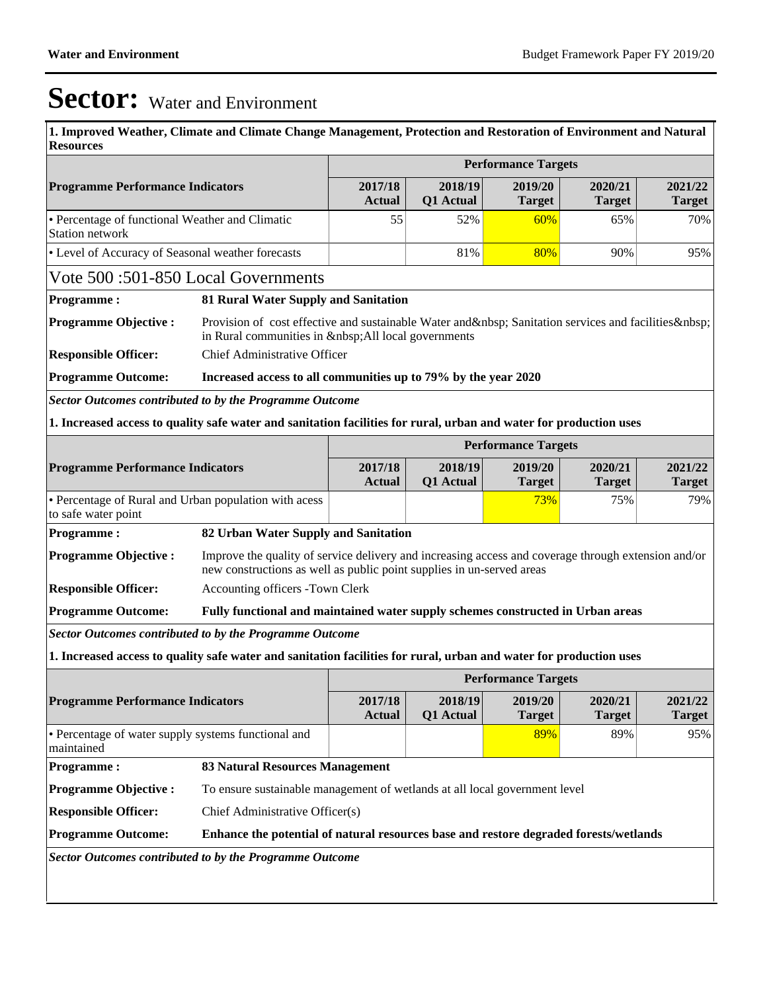**1. Improved Weather, Climate and Climate Change Management, Protection and Restoration of Environment and Natural Resources**

|                                                                                                                    |                                                                                                                                                                              | <b>Performance Targets</b>                                                                                                                    |                          |                            |                          |                          |  |  |
|--------------------------------------------------------------------------------------------------------------------|------------------------------------------------------------------------------------------------------------------------------------------------------------------------------|-----------------------------------------------------------------------------------------------------------------------------------------------|--------------------------|----------------------------|--------------------------|--------------------------|--|--|
| <b>Programme Performance Indicators</b>                                                                            | 2017/18<br><b>Actual</b>                                                                                                                                                     | 2018/19<br><b>Q1</b> Actual                                                                                                                   | 2019/20<br><b>Target</b> | 2020/21<br><b>Target</b>   | 2021/22<br><b>Target</b> |                          |  |  |
| • Percentage of functional Weather and Climatic<br><b>Station network</b>                                          | 55                                                                                                                                                                           | 52%                                                                                                                                           | 60%                      | 65%                        | 70%                      |                          |  |  |
| • Level of Accuracy of Seasonal weather forecasts                                                                  |                                                                                                                                                                              | 81%                                                                                                                                           | 80%                      | 90%                        | 95%                      |                          |  |  |
| Vote 500:501-850 Local Governments                                                                                 |                                                                                                                                                                              |                                                                                                                                               |                          |                            |                          |                          |  |  |
| <b>Programme:</b>                                                                                                  |                                                                                                                                                                              | 81 Rural Water Supply and Sanitation                                                                                                          |                          |                            |                          |                          |  |  |
| <b>Programme Objective:</b>                                                                                        |                                                                                                                                                                              | Provision of cost effective and sustainable Water and   Sanitation services and facilities<br>in Rural communities in   All local governments |                          |                            |                          |                          |  |  |
| <b>Responsible Officer:</b>                                                                                        | Chief Administrative Officer                                                                                                                                                 |                                                                                                                                               |                          |                            |                          |                          |  |  |
| <b>Programme Outcome:</b>                                                                                          | Increased access to all communities up to 79% by the year 2020                                                                                                               |                                                                                                                                               |                          |                            |                          |                          |  |  |
| Sector Outcomes contributed to by the Programme Outcome                                                            |                                                                                                                                                                              |                                                                                                                                               |                          |                            |                          |                          |  |  |
| 1. Increased access to quality safe water and sanitation facilities for rural, urban and water for production uses |                                                                                                                                                                              |                                                                                                                                               |                          |                            |                          |                          |  |  |
|                                                                                                                    |                                                                                                                                                                              |                                                                                                                                               |                          | <b>Performance Targets</b> |                          |                          |  |  |
| <b>Programme Performance Indicators</b>                                                                            | 2017/18<br><b>Actual</b>                                                                                                                                                     | 2018/19<br>Q1 Actual                                                                                                                          | 2019/20                  | 2020/21                    | 2021/22<br><b>Target</b> |                          |  |  |
| to safe water point                                                                                                | <b>Target</b><br><b>Target</b><br>• Percentage of Rural and Urban population with acess<br>73%<br>75%                                                                        |                                                                                                                                               |                          |                            |                          |                          |  |  |
| <b>Programme:</b>                                                                                                  | 82 Urban Water Supply and Sanitation                                                                                                                                         |                                                                                                                                               |                          |                            |                          |                          |  |  |
| <b>Programme Objective:</b>                                                                                        | Improve the quality of service delivery and increasing access and coverage through extension and/or<br>new constructions as well as public point supplies in un-served areas |                                                                                                                                               |                          |                            |                          |                          |  |  |
| <b>Responsible Officer:</b>                                                                                        | Accounting officers -Town Clerk                                                                                                                                              |                                                                                                                                               |                          |                            |                          |                          |  |  |
| <b>Programme Outcome:</b>                                                                                          | Fully functional and maintained water supply schemes constructed in Urban areas                                                                                              |                                                                                                                                               |                          |                            |                          |                          |  |  |
| <b>Sector Outcomes contributed to by the Programme Outcome</b>                                                     |                                                                                                                                                                              |                                                                                                                                               |                          |                            |                          |                          |  |  |
| 1. Increased access to quality safe water and sanitation facilities for rural, urban and water for production uses |                                                                                                                                                                              |                                                                                                                                               |                          |                            |                          |                          |  |  |
|                                                                                                                    |                                                                                                                                                                              |                                                                                                                                               |                          | <b>Performance Targets</b> |                          |                          |  |  |
| <b>Programme Performance Indicators</b>                                                                            |                                                                                                                                                                              | 2017/18<br>Actual                                                                                                                             | 2018/19<br>Q1 Actual     | 2019/20<br><b>Target</b>   | 2020/21<br><b>Target</b> | 2021/22<br><b>Target</b> |  |  |
| • Percentage of water supply systems functional and<br>maintained                                                  |                                                                                                                                                                              |                                                                                                                                               |                          | 89%                        | 89%                      | 95%                      |  |  |
| <b>Programme:</b>                                                                                                  | <b>83 Natural Resources Management</b>                                                                                                                                       |                                                                                                                                               |                          |                            |                          |                          |  |  |
| <b>Programme Objective:</b>                                                                                        | To ensure sustainable management of wetlands at all local government level                                                                                                   |                                                                                                                                               |                          |                            |                          |                          |  |  |
| <b>Responsible Officer:</b>                                                                                        | Chief Administrative Officer(s)                                                                                                                                              |                                                                                                                                               |                          |                            |                          |                          |  |  |
| <b>Programme Outcome:</b><br>Enhance the potential of natural resources base and restore degraded forests/wetlands |                                                                                                                                                                              |                                                                                                                                               |                          |                            |                          |                          |  |  |
| Sector Outcomes contributed to by the Programme Outcome                                                            |                                                                                                                                                                              |                                                                                                                                               |                          |                            |                          |                          |  |  |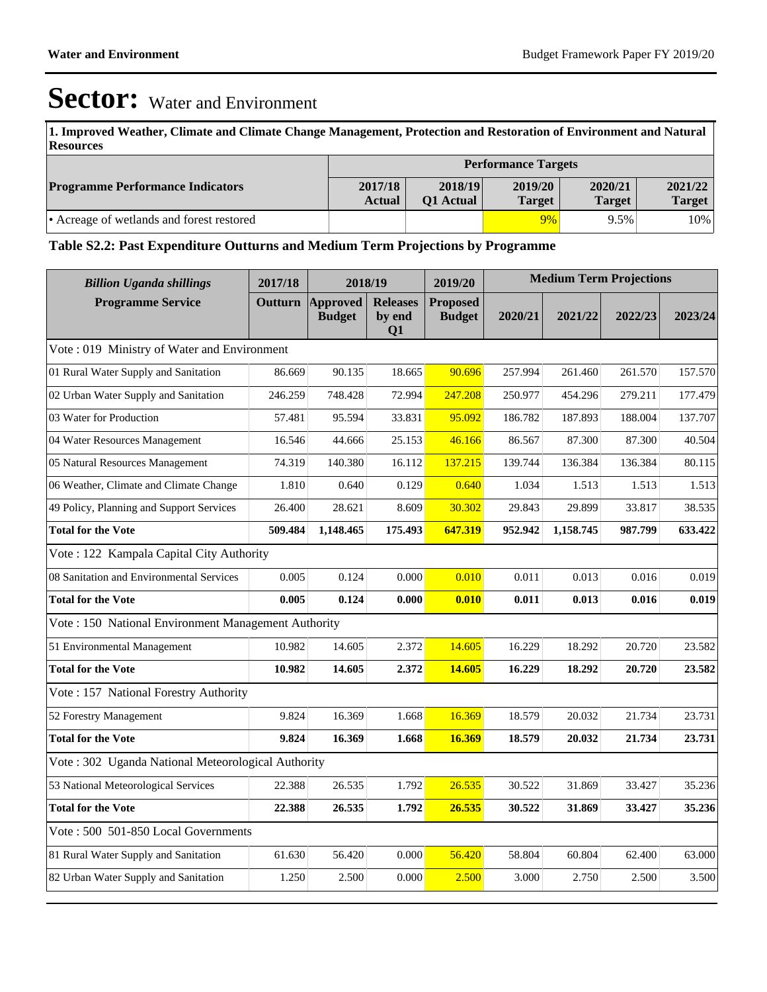**1. Improved Weather, Climate and Climate Change Management, Protection and Restoration of Environment and Natural Resources**

|                                           | <b>Performance Targets</b> |                             |                   |                          |                   |  |  |
|-------------------------------------------|----------------------------|-----------------------------|-------------------|--------------------------|-------------------|--|--|
| <b>Programme Performance Indicators</b>   | 2017/18<br><b>Actual</b>   | 2018/19<br><b>O1</b> Actual | 2019/20<br>Target | 2020/21<br><b>Target</b> | 2021/22<br>Target |  |  |
| • Acreage of wetlands and forest restored |                            |                             | 9%                | 9.5%                     | 10%               |  |  |

#### **Table S2.2: Past Expenditure Outturns and Medium Term Projections by Programme**

| <b>Billion Uganda shillings</b>                     | 2017/18 | 2018/19                          |                                 | 2019/20                          | <b>Medium Term Projections</b> |           |         |         |
|-----------------------------------------------------|---------|----------------------------------|---------------------------------|----------------------------------|--------------------------------|-----------|---------|---------|
| <b>Programme Service</b>                            | Outturn | <b>Approved</b><br><b>Budget</b> | <b>Releases</b><br>by end<br>Q1 | <b>Proposed</b><br><b>Budget</b> | 2020/21                        | 2021/22   | 2022/23 | 2023/24 |
| Vote: 019 Ministry of Water and Environment         |         |                                  |                                 |                                  |                                |           |         |         |
| 01 Rural Water Supply and Sanitation                | 86.669  | 90.135                           | 18.665                          | 90.696                           | 257.994                        | 261.460   | 261.570 | 157.570 |
| 02 Urban Water Supply and Sanitation                | 246.259 | 748.428                          | 72.994                          | 247.208                          | 250.977                        | 454.296   | 279.211 | 177.479 |
| 03 Water for Production                             | 57.481  | 95.594                           | 33.831                          | 95.092                           | 186.782                        | 187.893   | 188.004 | 137.707 |
| 04 Water Resources Management                       | 16.546  | 44.666                           | 25.153                          | 46.166                           | 86.567                         | 87.300    | 87.300  | 40.504  |
| 05 Natural Resources Management                     | 74.319  | 140.380                          | 16.112                          | 137.215                          | 139.744                        | 136.384   | 136.384 | 80.115  |
| 06 Weather, Climate and Climate Change              | 1.810   | 0.640                            | 0.129                           | 0.640                            | 1.034                          | 1.513     | 1.513   | 1.513   |
| 49 Policy, Planning and Support Services            | 26.400  | 28.621                           | 8.609                           | 30.302                           | 29.843                         | 29.899    | 33.817  | 38.535  |
| <b>Total for the Vote</b>                           | 509.484 | 1,148.465                        | 175.493                         | 647.319                          | 952.942                        | 1,158.745 | 987.799 | 633.422 |
| Vote: 122 Kampala Capital City Authority            |         |                                  |                                 |                                  |                                |           |         |         |
| 08 Sanitation and Environmental Services            | 0.005   | 0.124                            | 0.000                           | 0.010                            | 0.011                          | 0.013     | 0.016   | 0.019   |
| <b>Total for the Vote</b>                           | 0.005   | 0.124                            | 0.000                           | 0.010                            | 0.011                          | 0.013     | 0.016   | 0.019   |
| Vote: 150 National Environment Management Authority |         |                                  |                                 |                                  |                                |           |         |         |
| 51 Environmental Management                         | 10.982  | 14.605                           | 2.372                           | 14.605                           | 16.229                         | 18.292    | 20.720  | 23.582  |
| <b>Total for the Vote</b>                           | 10.982  | 14.605                           | 2.372                           | 14.605                           | 16.229                         | 18.292    | 20.720  | 23.582  |
| Vote: 157 National Forestry Authority               |         |                                  |                                 |                                  |                                |           |         |         |
| 52 Forestry Management                              | 9.824   | 16.369                           | 1.668                           | 16.369                           | 18.579                         | 20.032    | 21.734  | 23.731  |
| <b>Total for the Vote</b>                           | 9.824   | 16.369                           | 1.668                           | 16.369                           | 18.579                         | 20.032    | 21.734  | 23.731  |
| Vote: 302 Uganda National Meteorological Authority  |         |                                  |                                 |                                  |                                |           |         |         |
| 53 National Meteorological Services                 | 22.388  | 26.535                           | 1.792                           | 26.535                           | 30.522                         | 31.869    | 33.427  | 35.236  |
| <b>Total for the Vote</b>                           | 22.388  | 26.535                           | 1.792                           | 26.535                           | 30.522                         | 31.869    | 33.427  | 35.236  |
| Vote: 500 501-850 Local Governments                 |         |                                  |                                 |                                  |                                |           |         |         |
| 81 Rural Water Supply and Sanitation                | 61.630  | 56.420                           | 0.000                           | 56.420                           | 58.804                         | 60.804    | 62.400  | 63.000  |
| 82 Urban Water Supply and Sanitation                | 1.250   | 2.500                            | 0.000                           | 2.500                            | 3.000                          | 2.750     | 2.500   | 3.500   |